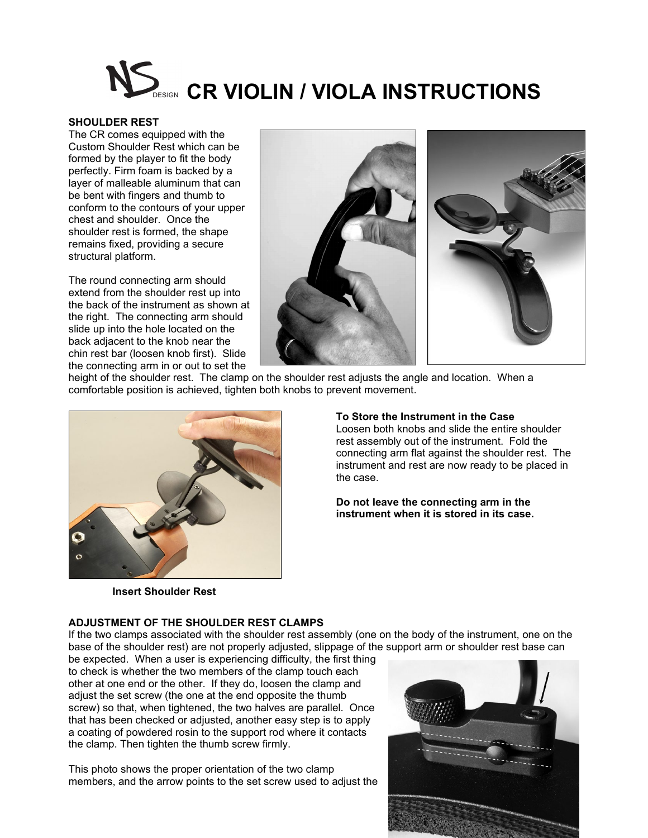# **CR VIOLIN / VIOLA INSTRUCTIONS**

### **SHOULDER REST**

The CR comes equipped with the Custom Shoulder Rest which can be formed by the player to fit the body perfectly. Firm foam is backed by a layer of malleable aluminum that can be bent with fingers and thumb to conform to the contours of your upper chest and shoulder. Once the shoulder rest is formed, the shape remains fixed, providing a secure structural platform.

The round connecting arm should extend from the shoulder rest up into the back of the instrument as shown at the right. The connecting arm should slide up into the hole located on the back adjacent to the knob near the chin rest bar (loosen knob first). Slide the connecting arm in or out to set the



height of the shoulder rest. The clamp on the shoulder rest adjusts the angle and location. When a comfortable position is achieved, tighten both knobs to prevent movement.



#### **To Store the Instrument in the Case**

Loosen both knobs and slide the entire shoulder rest assembly out of the instrument. Fold the connecting arm flat against the shoulder rest. The instrument and rest are now ready to be placed in the case.

**Do not leave the connecting arm in the instrument when it is stored in its case.**

 **Insert Shoulder Rest**

## **ADJUSTMENT OF THE SHOULDER REST CLAMPS**

If the two clamps associated with the shoulder rest assembly (one on the body of the instrument, one on the base of the shoulder rest) are not properly adjusted, slippage of the support arm or shoulder rest base can

be expected. When a user is experiencing difficulty, the first thing to check is whether the two members of the clamp touch each other at one end or the other. If they do, loosen the clamp and adjust the set screw (the one at the end opposite the thumb screw) so that, when tightened, the two halves are parallel. Once that has been checked or adjusted, another easy step is to apply a coating of powdered rosin to the support rod where it contacts the clamp. Then tighten the thumb screw firmly.

This photo shows the proper orientation of the two clamp members, and the arrow points to the set screw used to adjust the

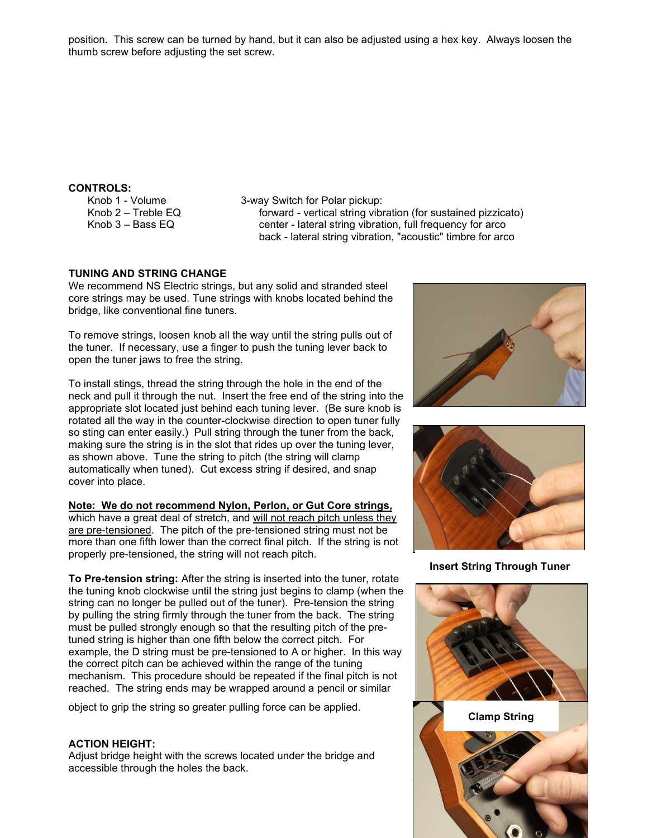position. This screw can be turned by hand, but it can also be adjusted using a hex key. Always loosen the thumb screw before adjusting the set screw.

# **CONTROLS:**

Knob 1 - Volume Knob 2 – Treble EQ Knob 3 – Bass EQ

3-way Switch for Polar pickup: forward - vertical string vibration (for sustained pizzicato) center - lateral string vibration, full frequency for arco back - lateral string vibration, "acoustic" timbre for arco

# **TUNING AND STRING CHANGE**

We recommend NS Electric strings, but any solid and stranded steel core strings may be used. Tune strings with knobs located behind the bridge, like conventional fine tuners.

To remove strings, loosen knob all the way until the string pulls out of the tuner. If necessary, use a finger to push the tuning lever back to open the tuner jaws to free the string.

To install stings, thread the string through the hole in the end of the neck and pull it through the nut. Insert the free end of the string into the appropriate slot located just behind each tuning lever. (Be sure knob is rotated all the way in the counter-clockwise direction to open tuner fully so sting can enter easily.) Pull string through the tuner from the back, making sure the string is in the slot that rides up over the tuning lever, as shown above. Tune the string to pitch (the string will clamp automatically when tuned). Cut excess string if desired, and snap cover into place.

# **Note: We do not recommend Nylon, Perlon, or Gut Core strings,**

which have a great deal of stretch, and will not reach pitch unless they are pre-tensioned. The pitch of the pre-tensioned string must not be more than one fifth lower than the correct final pitch. If the string is not properly pre-tensioned, the string will not reach pitch.

**To Pre-tension string:** After the string is inserted into the tuner, rotate the tuning knob clockwise until the string just begins to clamp (when the string can no longer be pulled out of the tuner). Pre-tension the string by pulling the string firmly through the tuner from the back. The string must be pulled strongly enough so that the resulting pitch of the pretuned string is higher than one fifth below the correct pitch. For example, the D string must be pre-tensioned to A or higher. In this way the correct pitch can be achieved within the range of the tuning mechanism. This procedure should be repeated if the final pitch is not reached. The string ends may be wrapped around a pencil or similar

object to grip the string so greater pulling force can be applied.

## **ACTION HEIGHT:**

Adjust bridge height with the screws located under the bridge and accessible through the holes the back.





**Insert String Through Tuner**